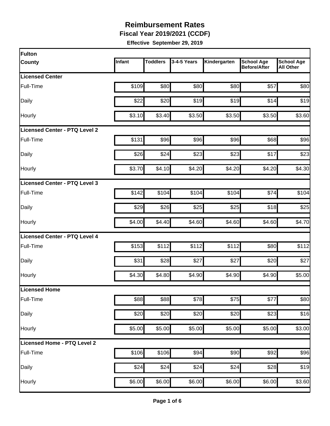**Fiscal Year 2019/2021 (CCDF)**

| Fulton                        |        |                 |             |              |                                          |                                       |
|-------------------------------|--------|-----------------|-------------|--------------|------------------------------------------|---------------------------------------|
| <b>County</b>                 | Infant | <b>Toddlers</b> | 3-4-5 Years | Kindergarten | <b>School Age</b><br><b>Before/After</b> | <b>School Age</b><br><b>All Other</b> |
| <b>Licensed Center</b>        |        |                 |             |              |                                          |                                       |
| Full-Time                     | \$109  | \$80            | \$80        | \$80         | \$57                                     | \$80                                  |
| Daily                         | \$22   | \$20            | \$19        | \$19         | \$14                                     | \$19                                  |
| Hourly                        | \$3.10 | \$3.40          | \$3.50      | \$3.50       | \$3.50                                   | \$3.60                                |
| Licensed Center - PTQ Level 2 |        |                 |             |              |                                          |                                       |
| Full-Time                     | \$131  | \$96            | \$96        | \$96         | \$68                                     | \$96                                  |
| Daily                         | \$26   | \$24            | \$23        | \$23         | \$17                                     | \$23                                  |
| Hourly                        | \$3.70 | \$4.10          | \$4.20      | \$4.20       | \$4.20                                   | \$4.30                                |
| Licensed Center - PTQ Level 3 |        |                 |             |              |                                          |                                       |
| Full-Time                     | \$142  | \$104           | \$104       | \$104        | \$74                                     | \$104                                 |
| Daily                         | \$29   | \$26            | \$25        | \$25         | \$18                                     | \$25                                  |
| Hourly                        | \$4.00 | \$4.40          | \$4.60      | \$4.60       | \$4.60                                   | \$4.70                                |
| Licensed Center - PTQ Level 4 |        |                 |             |              |                                          |                                       |
| Full-Time                     | \$153  | \$112           | \$112       | \$112        | \$80                                     | \$112                                 |
| Daily                         | \$31   | \$28            | \$27        | \$27         | \$20                                     | \$27                                  |
| Hourly                        | \$4.30 | \$4.80          | \$4.90      | \$4.90       | \$4.90                                   | \$5.00                                |
| <b>Licensed Home</b>          |        |                 |             |              |                                          |                                       |
| Full-Time                     | \$88   | \$88            | \$78        | \$75         | \$77                                     | \$80                                  |
| Daily                         | \$20   | \$20            | \$20        | \$20         | \$23                                     | \$16                                  |
| Hourly                        | \$5.00 | \$5.00          | \$5.00      | \$5.00       | \$5.00                                   | \$3.00                                |
| Licensed Home - PTQ Level 2   |        |                 |             |              |                                          |                                       |
| Full-Time                     | \$106  | \$106           | \$94        | \$90         | \$92                                     | \$96                                  |
| Daily                         | \$24   | \$24            | \$24        | \$24         | \$28                                     | \$19                                  |
| Hourly                        | \$6.00 | \$6.00          | \$6.00      | \$6.00       | \$6.00                                   | \$3.60                                |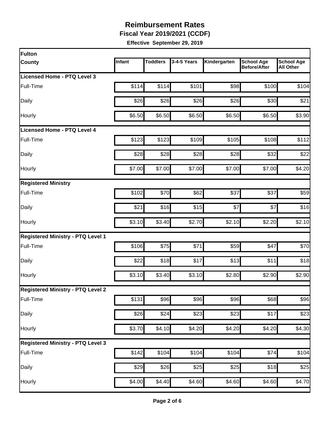**Fiscal Year 2019/2021 (CCDF)**

| Fulton                                   |        |                 |                  |              |                                          |                                       |
|------------------------------------------|--------|-----------------|------------------|--------------|------------------------------------------|---------------------------------------|
| <b>County</b>                            | Infant | <b>Toddlers</b> | 3-4-5 Years      | Kindergarten | <b>School Age</b><br><b>Before/After</b> | <b>School Age</b><br><b>All Other</b> |
| Licensed Home - PTQ Level 3              |        |                 |                  |              |                                          |                                       |
| Full-Time                                | \$114  | \$114           | \$101            | \$98         | \$100                                    | \$104                                 |
| Daily                                    | \$26   | \$26            | \$26             | \$26         | \$30                                     | \$21                                  |
| Hourly                                   | \$6.50 | \$6.50          | \$6.50           | \$6.50       | \$6.50                                   | \$3.90                                |
| Licensed Home - PTQ Level 4              |        |                 |                  |              |                                          |                                       |
| Full-Time                                | \$123  | \$123           | \$109            | \$105        | \$108                                    | \$112                                 |
| Daily                                    | \$28   | \$28            | \$28             | \$28         | \$32                                     | \$22                                  |
| Hourly                                   | \$7.00 | \$7.00          | \$7.00           | \$7.00       | \$7.00                                   | \$4.20                                |
| <b>Registered Ministry</b>               |        |                 |                  |              |                                          |                                       |
| Full-Time                                | \$102  | \$70            | \$62             | \$37         | \$37                                     | \$59                                  |
| Daily                                    | \$21   | \$16            | \$15             | \$7          | \$7                                      | \$16                                  |
| Hourly                                   | \$3.10 | \$3.40          | \$2.70           | \$2.10       | \$2.20                                   | \$2.10                                |
| <b>Registered Ministry - PTQ Level 1</b> |        |                 |                  |              |                                          |                                       |
| Full-Time                                | \$106  | \$75            | \$71             | \$59         | \$47                                     | \$70                                  |
| Daily                                    | \$22   | \$18            | \$17             | \$13         | \$11                                     | \$18                                  |
| Hourly                                   | \$3.10 | \$3.40          | \$3.10           | \$2.80       | \$2.90                                   | \$2.90                                |
| <b>Registered Ministry - PTQ Level 2</b> |        |                 |                  |              |                                          |                                       |
| Full-Time                                | \$131  | \$96            | \$96             | \$96         | \$68                                     | \$96                                  |
| Daily                                    | \$26   | \$24            | $\overline{$}23$ | \$23         | \$17                                     | \$23                                  |
| Hourly                                   | \$3.70 | \$4.10          | \$4.20           | \$4.20       | \$4.20                                   | \$4.30                                |
| <b>Registered Ministry - PTQ Level 3</b> |        |                 |                  |              |                                          |                                       |
| Full-Time                                | \$142  | \$104           | \$104            | \$104        | \$74                                     | \$104                                 |
| Daily                                    | \$29   | \$26            | \$25             | \$25         | \$18                                     | \$25                                  |
| Hourly                                   | \$4.00 | \$4.40          | \$4.60           | \$4.60       | \$4.60                                   | \$4.70                                |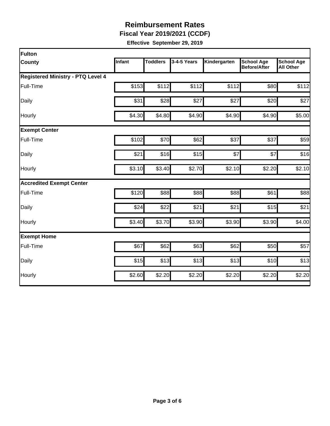**Fiscal Year 2019/2021 (CCDF)**

| Fulton                                   |        |                 |             |              |                                          |                                       |
|------------------------------------------|--------|-----------------|-------------|--------------|------------------------------------------|---------------------------------------|
| <b>County</b>                            | Infant | <b>Toddlers</b> | 3-4-5 Years | Kindergarten | <b>School Age</b><br><b>Before/After</b> | <b>School Age</b><br><b>All Other</b> |
| <b>Registered Ministry - PTQ Level 4</b> |        |                 |             |              |                                          |                                       |
| Full-Time                                | \$153  | \$112           | \$112       | \$112        | \$80                                     | \$112                                 |
| Daily                                    | \$31   | \$28            | \$27        | \$27         | \$20                                     | \$27                                  |
| Hourly                                   | \$4.30 | \$4.80          | \$4.90      | \$4.90       | \$4.90                                   | \$5.00                                |
| <b>Exempt Center</b>                     |        |                 |             |              |                                          |                                       |
| Full-Time                                | \$102  | \$70            | \$62        | \$37         | \$37                                     | \$59                                  |
| Daily                                    | \$21   | \$16            | \$15        | \$7          | \$7                                      | \$16                                  |
| Hourly                                   | \$3.10 | \$3.40          | \$2.70      | \$2.10       | \$2.20                                   | \$2.10                                |
| <b>Accredited Exempt Center</b>          |        |                 |             |              |                                          |                                       |
| Full-Time                                | \$120  | \$88            | \$88        | \$88         | \$61                                     | \$88                                  |
| Daily                                    | \$24   | \$22            | \$21        | \$21         | \$15                                     | \$21                                  |
| Hourly                                   | \$3.40 | \$3.70          | \$3.90      | \$3.90       | \$3.90                                   | \$4.00                                |
| <b>Exempt Home</b>                       |        |                 |             |              |                                          |                                       |
| Full-Time                                | \$67   | \$62            | \$63        | \$62         | \$50                                     | \$57                                  |
| Daily                                    | \$15   | \$13            | \$13        | \$13         | \$10                                     | \$13                                  |
| Hourly                                   | \$2.60 | \$2.20          | \$2.20      | \$2.20       | \$2.20                                   | \$2.20                                |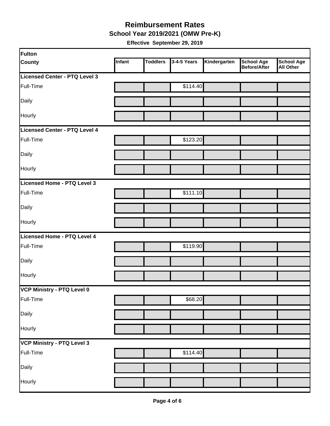#### **School Year 2019/2021 (OMW Pre-K) Reimbursement Rates**

| Fulton                        |        |                 |             |              |                                   |                         |
|-------------------------------|--------|-----------------|-------------|--------------|-----------------------------------|-------------------------|
| <b>County</b>                 | Infant | <b>Toddlers</b> | 3-4-5 Years | Kindergarten | <b>School Age</b><br>Before/After | School Age<br>All Other |
| Licensed Center - PTQ Level 3 |        |                 |             |              |                                   |                         |
| Full-Time                     |        |                 | \$114.40    |              |                                   |                         |
| Daily                         |        |                 |             |              |                                   |                         |
| Hourly                        |        |                 |             |              |                                   |                         |
| Licensed Center - PTQ Level 4 |        |                 |             |              |                                   |                         |
| Full-Time                     |        |                 | \$123.20    |              |                                   |                         |
| Daily                         |        |                 |             |              |                                   |                         |
| Hourly                        |        |                 |             |              |                                   |                         |
| Licensed Home - PTQ Level 3   |        |                 |             |              |                                   |                         |
| Full-Time                     |        |                 | \$111.10    |              |                                   |                         |
| Daily                         |        |                 |             |              |                                   |                         |
| Hourly                        |        |                 |             |              |                                   |                         |
| Licensed Home - PTQ Level 4   |        |                 |             |              |                                   |                         |
| Full-Time                     |        |                 | \$119.90    |              |                                   |                         |
| Daily                         |        |                 |             |              |                                   |                         |
| Hourly                        |        |                 |             |              |                                   |                         |
| VCP Ministry - PTQ Level 0    |        |                 |             |              |                                   |                         |
| Full-Time                     |        |                 | \$68.20     |              |                                   |                         |
| Daily                         |        |                 |             |              |                                   |                         |
| Hourly                        |        |                 |             |              |                                   |                         |
| VCP Ministry - PTQ Level 3    |        |                 |             |              |                                   |                         |
| Full-Time                     |        |                 | \$114.40    |              |                                   |                         |
| Daily                         |        |                 |             |              |                                   |                         |
| Hourly                        |        |                 |             |              |                                   |                         |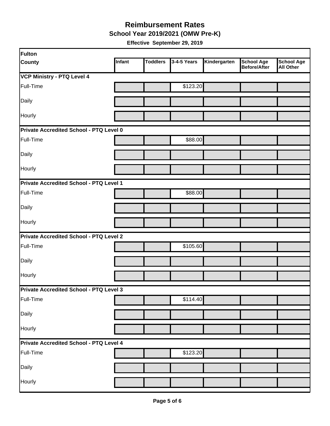**School Year 2019/2021 (OMW Pre-K)**

| Fulton                                         |        |                 |             |              |                                   |                                       |  |  |
|------------------------------------------------|--------|-----------------|-------------|--------------|-----------------------------------|---------------------------------------|--|--|
| <b>County</b>                                  | Infant | <b>Toddlers</b> | 3-4-5 Years | Kindergarten | <b>School Age</b><br>Before/After | <b>School Age</b><br><b>All Other</b> |  |  |
| <b>VCP Ministry - PTQ Level 4</b>              |        |                 |             |              |                                   |                                       |  |  |
| Full-Time                                      |        |                 | \$123.20    |              |                                   |                                       |  |  |
| Daily                                          |        |                 |             |              |                                   |                                       |  |  |
| Hourly                                         |        |                 |             |              |                                   |                                       |  |  |
| Private Accredited School - PTQ Level 0        |        |                 |             |              |                                   |                                       |  |  |
| Full-Time                                      |        |                 | \$88.00     |              |                                   |                                       |  |  |
| Daily                                          |        |                 |             |              |                                   |                                       |  |  |
| Hourly                                         |        |                 |             |              |                                   |                                       |  |  |
| Private Accredited School - PTQ Level 1        |        |                 |             |              |                                   |                                       |  |  |
| Full-Time                                      |        |                 | \$88.00     |              |                                   |                                       |  |  |
| Daily                                          |        |                 |             |              |                                   |                                       |  |  |
| Hourly                                         |        |                 |             |              |                                   |                                       |  |  |
| <b>Private Accredited School - PTQ Level 2</b> |        |                 |             |              |                                   |                                       |  |  |
| Full-Time                                      |        |                 | \$105.60    |              |                                   |                                       |  |  |
| Daily                                          |        |                 |             |              |                                   |                                       |  |  |
| Hourly                                         |        |                 |             |              |                                   |                                       |  |  |
| Private Accredited School - PTQ Level 3        |        |                 |             |              |                                   |                                       |  |  |
| Full-Time                                      |        |                 | \$114.40    |              |                                   |                                       |  |  |
| Daily                                          |        |                 |             |              |                                   |                                       |  |  |
| Hourly                                         |        |                 |             |              |                                   |                                       |  |  |
| Private Accredited School - PTQ Level 4        |        |                 |             |              |                                   |                                       |  |  |
| Full-Time                                      |        |                 | \$123.20    |              |                                   |                                       |  |  |
| Daily                                          |        |                 |             |              |                                   |                                       |  |  |
| Hourly                                         |        |                 |             |              |                                   |                                       |  |  |